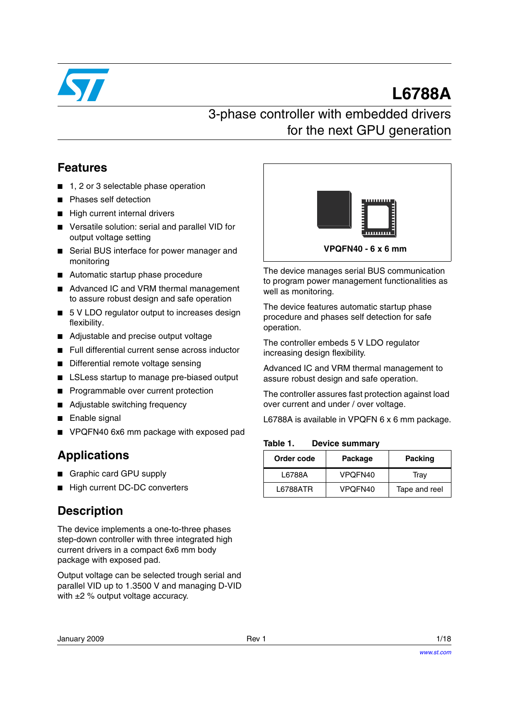

# **L6788A**

## 3-phase controller with embedded drivers for the next GPU generation

### **Features**

- 1, 2 or 3 selectable phase operation
- Phases self detection
- High current internal drivers
- Versatile solution: serial and parallel VID for output voltage setting
- Serial BUS interface for power manager and monitoring
- Automatic startup phase procedure
- Advanced IC and VRM thermal management to assure robust design and safe operation
- 5 V LDO regulator output to increases design flexibility.
- Adjustable and precise output voltage
- Full differential current sense across inductor
- Differential remote voltage sensing
- LSLess startup to manage pre-biased output
- Programmable over current protection
- Adjustable switching frequency
- Enable signal
- VPQFN40 6x6 mm package with exposed pad

### **Applications**

- Graphic card GPU supply
- High current DC-DC converters

### **Description**

The device implements a one-to-three phases step-down controller with three integrated high current drivers in a compact 6x6 mm body package with exposed pad.

Output voltage can be selected trough serial and parallel VID up to 1.3500 V and managing D-VID with  $\pm 2$  % output voltage accuracy.



The device manages serial BUS communication to program power management functionalities as well as monitoring.

The device features automatic startup phase procedure and phases self detection for safe operation.

The controller embeds 5 V LDO regulator increasing design flexibility.

Advanced IC and VRM thermal management to assure robust design and safe operation.

The controller assures fast protection against load over current and under / over voltage.

L6788A is available in VPQFN 6 x 6 mm package.

#### **Table 1. Device summary**

| Order code | Package | <b>Packing</b> |
|------------|---------|----------------|
| L6788A     | VPOFN40 | Tray           |
| L6788ATR   | VPOFN40 | Tape and reel  |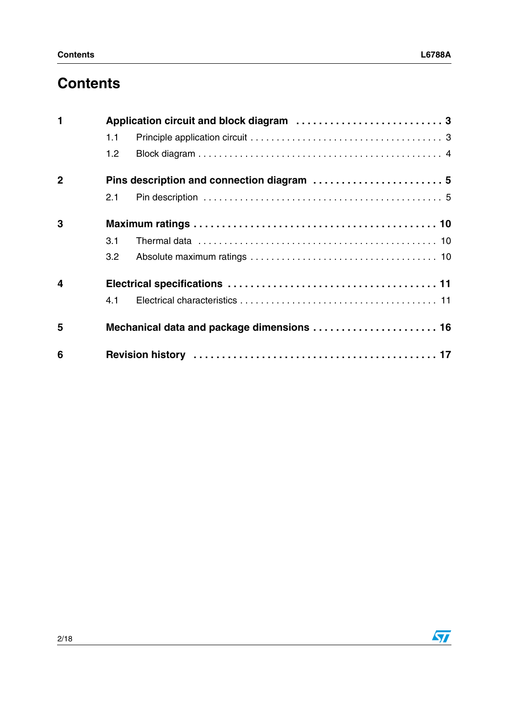| $\mathbf{1}$            |                  |                                            |  |  |  |
|-------------------------|------------------|--------------------------------------------|--|--|--|
|                         | 1.1              |                                            |  |  |  |
|                         | 1.2              |                                            |  |  |  |
| $\mathbf{2}$            |                  | Pins description and connection diagram  5 |  |  |  |
|                         | 2.1              |                                            |  |  |  |
| 3                       |                  |                                            |  |  |  |
|                         | 3.1              |                                            |  |  |  |
|                         | 3.2 <sub>2</sub> |                                            |  |  |  |
| $\overline{\mathbf{4}}$ |                  |                                            |  |  |  |
|                         | 4.1              |                                            |  |  |  |
| 5                       |                  | Mechanical data and package dimensions  16 |  |  |  |
| 6                       |                  |                                            |  |  |  |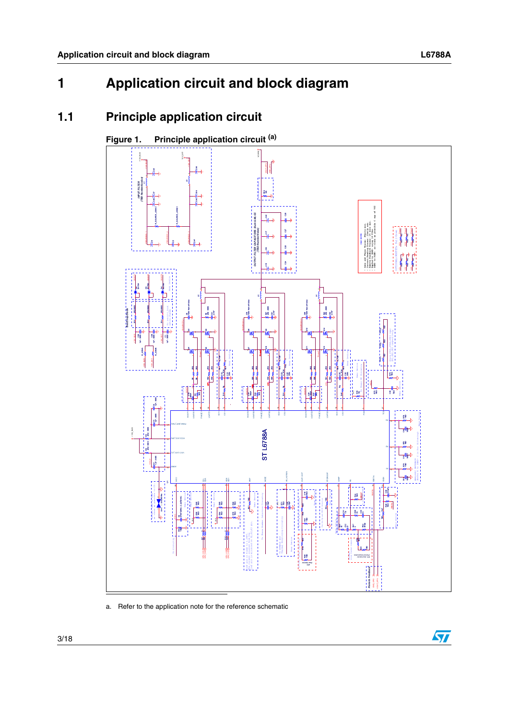## <span id="page-2-0"></span>**1 Application circuit and block diagram**

## <span id="page-2-1"></span>**1.1 Principle application circuit**



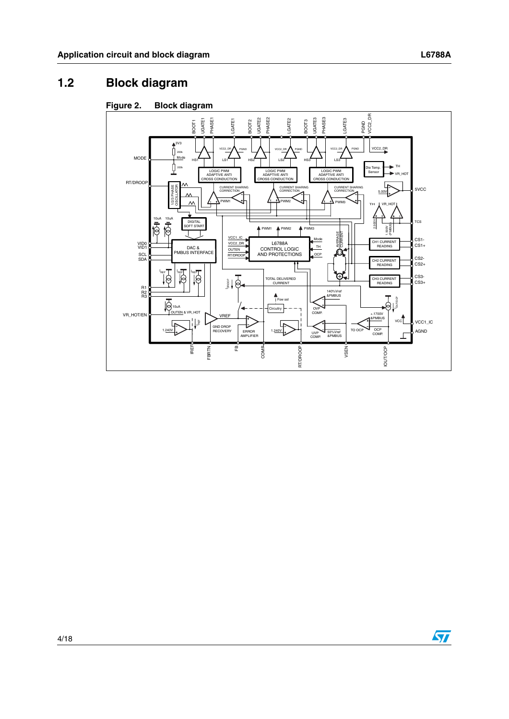## <span id="page-3-0"></span>**1.2 Block diagram**



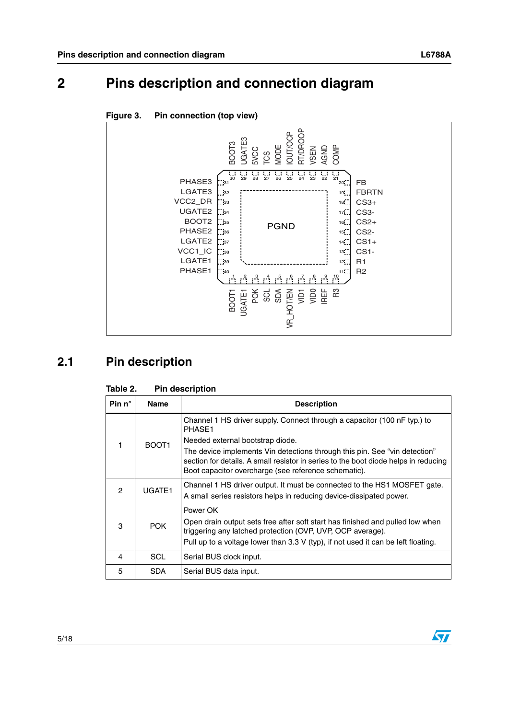

<span id="page-4-0"></span>

## <span id="page-4-1"></span>**2.1 Pin description**

| Pin $n^{\circ}$ | <b>Name</b>       | <b>Description</b>                                                                                                                                                                                                                                            |
|-----------------|-------------------|---------------------------------------------------------------------------------------------------------------------------------------------------------------------------------------------------------------------------------------------------------------|
|                 |                   | Channel 1 HS driver supply. Connect through a capacitor (100 nF typ.) to<br>PHASE1                                                                                                                                                                            |
|                 | BOOT <sub>1</sub> | Needed external bootstrap diode.<br>The device implements Vin detections through this pin. See "vin detection"<br>section for details. A small resistor in series to the boot diode helps in reducing<br>Boot capacitor overcharge (see reference schematic). |
| 2               | UGATE1            | Channel 1 HS driver output. It must be connected to the HS1 MOSFET gate.<br>A small series resistors helps in reducing device-dissipated power.                                                                                                               |
| 3               | <b>POK</b>        | Power OK<br>Open drain output sets free after soft start has finished and pulled low when<br>triggering any latched protection (OVP, UVP, OCP average).<br>Pull up to a voltage lower than 3.3 V (typ), if not used it can be left floating.                  |
| 4               | <b>SCL</b>        | Serial BUS clock input.                                                                                                                                                                                                                                       |
| 5               | <b>SDA</b>        | Serial BUS data input.                                                                                                                                                                                                                                        |

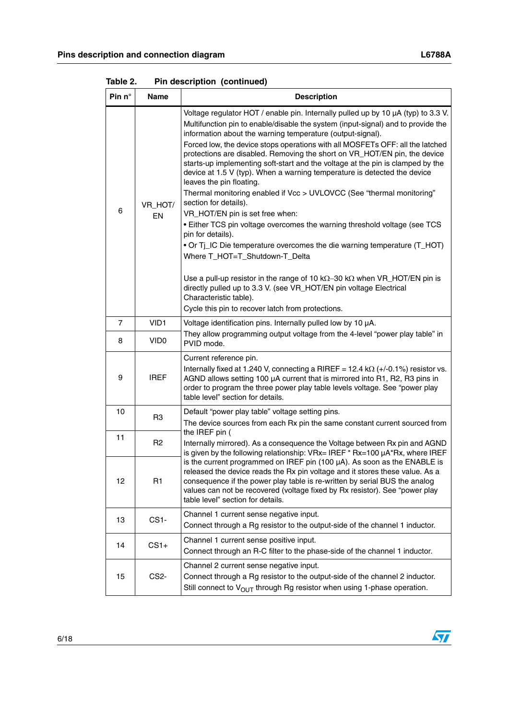| Pin n°                | <b>Name</b>       | <b>Description</b>                                                                                                                                                                                                                                                                                                                                                                                                                                                                                                                                                                                                                                                                                                                                                                                                                                                                                                                                                                                                                                                                                                                                                                                 |
|-----------------------|-------------------|----------------------------------------------------------------------------------------------------------------------------------------------------------------------------------------------------------------------------------------------------------------------------------------------------------------------------------------------------------------------------------------------------------------------------------------------------------------------------------------------------------------------------------------------------------------------------------------------------------------------------------------------------------------------------------------------------------------------------------------------------------------------------------------------------------------------------------------------------------------------------------------------------------------------------------------------------------------------------------------------------------------------------------------------------------------------------------------------------------------------------------------------------------------------------------------------------|
| 6                     | VR_HOT/<br>EN     | Voltage regulator HOT / enable pin. Internally pulled up by 10 µA (typ) to 3.3 V.<br>Multifunction pin to enable/disable the system (input-signal) and to provide the<br>information about the warning temperature (output-signal).<br>Forced low, the device stops operations with all MOSFETs OFF: all the latched<br>protections are disabled. Removing the short on VR_HOT/EN pin, the device<br>starts-up implementing soft-start and the voltage at the pin is clamped by the<br>device at 1.5 V (typ). When a warning temperature is detected the device<br>leaves the pin floating.<br>Thermal monitoring enabled if Vcc > UVLOVCC (See "thermal monitoring"<br>section for details).<br>VR_HOT/EN pin is set free when:<br>. Either TCS pin voltage overcomes the warning threshold voltage (see TCS<br>pin for details).<br>. Or Tj_IC Die temperature overcomes the die warning temperature (T_HOT)<br>Where T_HOT=T_Shutdown-T_Delta<br>Use a pull-up resistor in the range of 10 k $\Omega$ -30 k $\Omega$ when VR_HOT/EN pin is<br>directly pulled up to 3.3 V. (see VR_HOT/EN pin voltage Electrical<br>Characteristic table).<br>Cycle this pin to recover latch from protections. |
| $\overline{7}$        | VID1              | Voltage identification pins. Internally pulled low by 10 µA.                                                                                                                                                                                                                                                                                                                                                                                                                                                                                                                                                                                                                                                                                                                                                                                                                                                                                                                                                                                                                                                                                                                                       |
| VID <sub>0</sub><br>8 |                   | They allow programming output voltage from the 4-level "power play table" in<br>PVID mode.                                                                                                                                                                                                                                                                                                                                                                                                                                                                                                                                                                                                                                                                                                                                                                                                                                                                                                                                                                                                                                                                                                         |
| 9                     | <b>IREF</b>       | Current reference pin.<br>Internally fixed at 1.240 V, connecting a RIREF = 12.4 k $\Omega$ (+/-0.1%) resistor vs.<br>AGND allows setting 100 µA current that is mirrored into R1, R2, R3 pins in<br>order to program the three power play table levels voltage. See "power play<br>table level" section for details.                                                                                                                                                                                                                                                                                                                                                                                                                                                                                                                                                                                                                                                                                                                                                                                                                                                                              |
| 10                    | R3                | Default "power play table" voltage setting pins.<br>The device sources from each Rx pin the same constant current sourced from                                                                                                                                                                                                                                                                                                                                                                                                                                                                                                                                                                                                                                                                                                                                                                                                                                                                                                                                                                                                                                                                     |
| 11                    | R <sub>2</sub>    | the IREF pin (<br>Internally mirrored). As a consequence the Voltage between Rx pin and AGND<br>is given by the following relationship: VRx= IREF * Rx=100 µA*Rx, where IREF                                                                                                                                                                                                                                                                                                                                                                                                                                                                                                                                                                                                                                                                                                                                                                                                                                                                                                                                                                                                                       |
| 12                    | R1                | is the current programmed on IREF pin (100 $\mu$ A). As soon as the ENABLE is<br>released the device reads the Rx pin voltage and it stores these value. As a<br>consequence if the power play table is re-written by serial BUS the analog<br>values can not be recovered (voltage fixed by Rx resistor). See "power play<br>table level" section for details.                                                                                                                                                                                                                                                                                                                                                                                                                                                                                                                                                                                                                                                                                                                                                                                                                                    |
| 13                    | CS1-              | Channel 1 current sense negative input.<br>Connect through a Rg resistor to the output-side of the channel 1 inductor.                                                                                                                                                                                                                                                                                                                                                                                                                                                                                                                                                                                                                                                                                                                                                                                                                                                                                                                                                                                                                                                                             |
| 14                    | $CS1+$            | Channel 1 current sense positive input.<br>Connect through an R-C filter to the phase-side of the channel 1 inductor.                                                                                                                                                                                                                                                                                                                                                                                                                                                                                                                                                                                                                                                                                                                                                                                                                                                                                                                                                                                                                                                                              |
| 15                    | CS <sub>2</sub> - | Channel 2 current sense negative input.<br>Connect through a Rg resistor to the output-side of the channel 2 inductor.<br>Still connect to $V_{OUT}$ through Rg resistor when using 1-phase operation.                                                                                                                                                                                                                                                                                                                                                                                                                                                                                                                                                                                                                                                                                                                                                                                                                                                                                                                                                                                             |

**Table 2. Pin description (continued)**

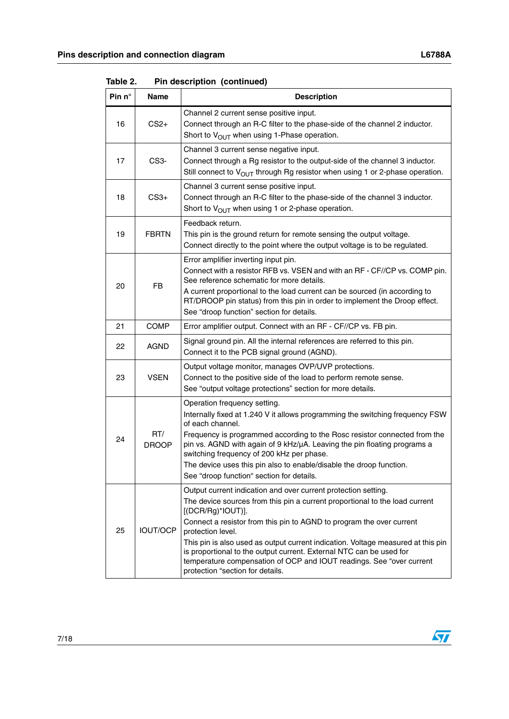| Pin n° | <b>Name</b>         | <b>Description</b>                                                                                                                                                                                                                                                                                                                                                                                                                                                                                                                        |  |
|--------|---------------------|-------------------------------------------------------------------------------------------------------------------------------------------------------------------------------------------------------------------------------------------------------------------------------------------------------------------------------------------------------------------------------------------------------------------------------------------------------------------------------------------------------------------------------------------|--|
| 16     | $CS2+$              | Channel 2 current sense positive input.<br>Connect through an R-C filter to the phase-side of the channel 2 inductor.<br>Short to V <sub>OUT</sub> when using 1-Phase operation.                                                                                                                                                                                                                                                                                                                                                          |  |
| 17     | CS <sub>3</sub> -   | Channel 3 current sense negative input.<br>Connect through a Rg resistor to the output-side of the channel 3 inductor.<br>Still connect to $V_{O \cup T}$ through Rg resistor when using 1 or 2-phase operation.                                                                                                                                                                                                                                                                                                                          |  |
| 18     | $CS3+$              | Channel 3 current sense positive input.<br>Connect through an R-C filter to the phase-side of the channel 3 inductor.<br>Short to $V_{\text{OUT}}$ when using 1 or 2-phase operation.                                                                                                                                                                                                                                                                                                                                                     |  |
| 19     | <b>FBRTN</b>        | Feedback return.<br>This pin is the ground return for remote sensing the output voltage.<br>Connect directly to the point where the output voltage is to be regulated.                                                                                                                                                                                                                                                                                                                                                                    |  |
| 20     | <b>FB</b>           | Error amplifier inverting input pin.<br>Connect with a resistor RFB vs. VSEN and with an RF - CF//CP vs. COMP pin.<br>See reference schematic for more details.<br>A current proportional to the load current can be sourced (in according to<br>RT/DROOP pin status) from this pin in order to implement the Droop effect.<br>See "droop function" section for details.                                                                                                                                                                  |  |
| 21     | <b>COMP</b>         | Error amplifier output. Connect with an RF - CF//CP vs. FB pin.                                                                                                                                                                                                                                                                                                                                                                                                                                                                           |  |
| 22     | <b>AGND</b>         | Signal ground pin. All the internal references are referred to this pin.<br>Connect it to the PCB signal ground (AGND).                                                                                                                                                                                                                                                                                                                                                                                                                   |  |
| 23     | <b>VSEN</b>         | Output voltage monitor, manages OVP/UVP protections.<br>Connect to the positive side of the load to perform remote sense.<br>See "output voltage protections" section for more details.                                                                                                                                                                                                                                                                                                                                                   |  |
| 24     | RT/<br><b>DROOP</b> | Operation frequency setting.<br>Internally fixed at 1.240 V it allows programming the switching frequency FSW<br>of each channel.<br>Frequency is programmed according to the Rosc resistor connected from the<br>pin vs. AGND with again of 9 kHz/µA. Leaving the pin floating programs a<br>switching frequency of 200 kHz per phase.<br>The device uses this pin also to enable/disable the droop function.<br>See "droop function" section for details.                                                                               |  |
| 25     | <b>IOUT/OCP</b>     | Output current indication and over current protection setting.<br>The device sources from this pin a current proportional to the load current<br>$[(DCR/Rg)^*IOUT)].$<br>Connect a resistor from this pin to AGND to program the over current<br>protection level.<br>This pin is also used as output current indication. Voltage measured at this pin<br>is proportional to the output current. External NTC can be used for<br>temperature compensation of OCP and IOUT readings. See "over current<br>protection "section for details. |  |

**Table 2. Pin description (continued)**

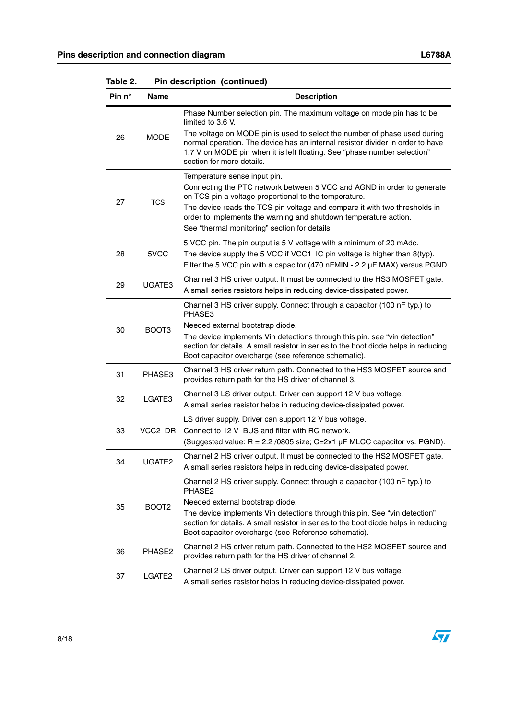| Pin $n^{\circ}$ | <b>Name</b>        | <b>Description</b>                                                                                                                                                                                                                                                                                                                                                 |
|-----------------|--------------------|--------------------------------------------------------------------------------------------------------------------------------------------------------------------------------------------------------------------------------------------------------------------------------------------------------------------------------------------------------------------|
| 26              | <b>MODE</b>        | Phase Number selection pin. The maximum voltage on mode pin has to be<br>limited to 3.6 V.<br>The voltage on MODE pin is used to select the number of phase used during<br>normal operation. The device has an internal resistor divider in order to have<br>1.7 V on MODE pin when it is left floating. See "phase number selection"<br>section for more details. |
| 27              | <b>TCS</b>         | Temperature sense input pin.<br>Connecting the PTC network between 5 VCC and AGND in order to generate<br>on TCS pin a voltage proportional to the temperature.<br>The device reads the TCS pin voltage and compare it with two thresholds in<br>order to implements the warning and shutdown temperature action.<br>See "thermal monitoring" section for details. |
| 28              | 5VCC               | 5 VCC pin. The pin output is 5 V voltage with a minimum of 20 mAdc.<br>The device supply the 5 VCC if VCC1_IC pin voltage is higher than 8(typ).<br>Filter the 5 VCC pin with a capacitor (470 nFMIN - 2.2 µF MAX) versus PGND.                                                                                                                                    |
| 29              | UGATE3             | Channel 3 HS driver output. It must be connected to the HS3 MOSFET gate.<br>A small series resistors helps in reducing device-dissipated power.                                                                                                                                                                                                                    |
| 30              | BOOT3              | Channel 3 HS driver supply. Connect through a capacitor (100 nF typ.) to<br>PHASE3<br>Needed external bootstrap diode.<br>The device implements Vin detections through this pin. see "vin detection"<br>section for details. A small resistor in series to the boot diode helps in reducing<br>Boot capacitor overcharge (see reference schematic).                |
| 31              | PHASE3             | Channel 3 HS driver return path. Connected to the HS3 MOSFET source and<br>provides return path for the HS driver of channel 3.                                                                                                                                                                                                                                    |
| 32              | LGATE3             | Channel 3 LS driver output. Driver can support 12 V bus voltage.<br>A small series resistor helps in reducing device-dissipated power.                                                                                                                                                                                                                             |
| 33              | VCC2_DR            | LS driver supply. Driver can support 12 V bus voltage.<br>Connect to 12 V_BUS and filter with RC network.<br>(Suggested value: R = 2.2 /0805 size; C=2x1 µF MLCC capacitor vs. PGND).                                                                                                                                                                              |
| 34              | UGATE <sub>2</sub> | Channel 2 HS driver output. It must be connected to the HS2 MOSFET gate.<br>A small series resistors helps in reducing device-dissipated power.                                                                                                                                                                                                                    |
| 35              | BOOT <sub>2</sub>  | Channel 2 HS driver supply. Connect through a capacitor (100 nF typ.) to<br>PHASE2<br>Needed external bootstrap diode.<br>The device implements Vin detections through this pin. See "vin detection"<br>section for details. A small resistor in series to the boot diode helps in reducing<br>Boot capacitor overcharge (see Reference schematic).                |
| 36              | PHASE2             | Channel 2 HS driver return path. Connected to the HS2 MOSFET source and<br>provides return path for the HS driver of channel 2.                                                                                                                                                                                                                                    |
| 37              | LGATE <sub>2</sub> | Channel 2 LS driver output. Driver can support 12 V bus voltage.<br>A small series resistor helps in reducing device-dissipated power.                                                                                                                                                                                                                             |

**Table 2. Pin description (continued)**

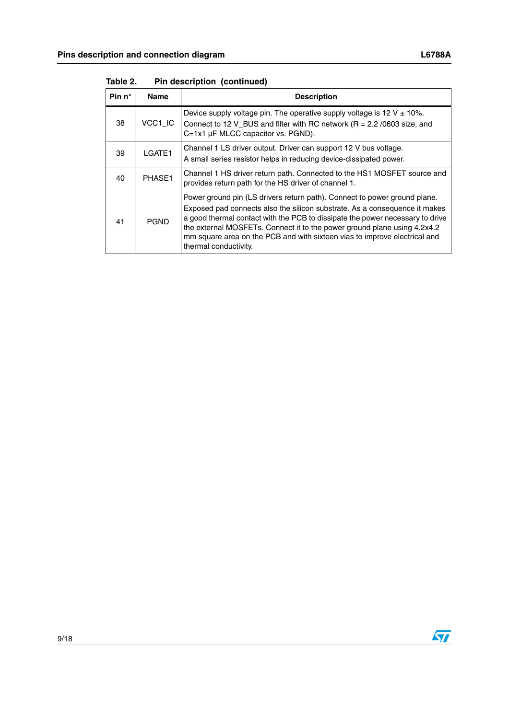| Pin $n^{\circ}$ | <b>Name</b> | <b>Description</b>                                                                                                                                                                                                                                                                                                                                                                                                         |
|-----------------|-------------|----------------------------------------------------------------------------------------------------------------------------------------------------------------------------------------------------------------------------------------------------------------------------------------------------------------------------------------------------------------------------------------------------------------------------|
| 38              | VCC1_IC     | Device supply voltage pin. The operative supply voltage is 12 V $\pm$ 10%.<br>Connect to 12 V BUS and filter with RC network ( $R = 2.2/0603$ size, and<br>C=1x1 µF MLCC capacitor vs. PGND).                                                                                                                                                                                                                              |
| 39              | LGATE1      | Channel 1 LS driver output. Driver can support 12 V bus voltage.<br>A small series resistor helps in reducing device-dissipated power.                                                                                                                                                                                                                                                                                     |
| 40              | PHASE1      | Channel 1 HS driver return path. Connected to the HS1 MOSFET source and<br>provides return path for the HS driver of channel 1.                                                                                                                                                                                                                                                                                            |
| 41              | <b>PGND</b> | Power ground pin (LS drivers return path). Connect to power ground plane.<br>Exposed pad connects also the silicon substrate. As a consequence it makes<br>a good thermal contact with the PCB to dissipate the power necessary to drive<br>the external MOSFETs. Connect it to the power ground plane using 4.2x4.2<br>mm square area on the PCB and with sixteen vias to improve electrical and<br>thermal conductivity. |

**Table 2. Pin description (continued)**



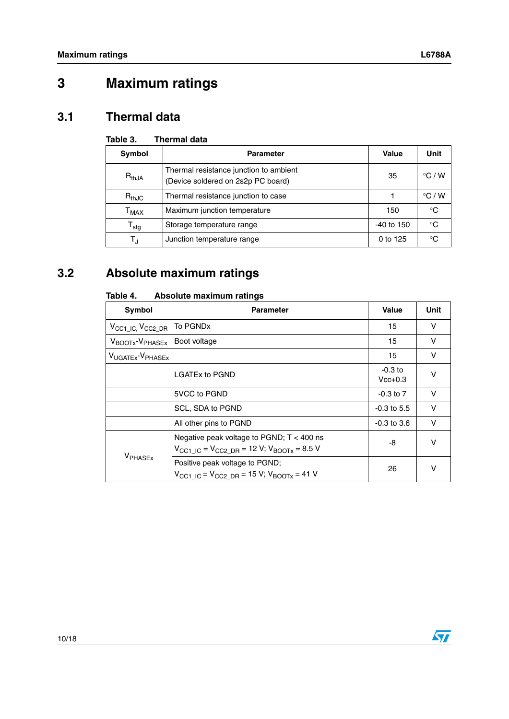## <span id="page-9-0"></span>**3 Maximum ratings**

### <span id="page-9-1"></span>**3.1 Thermal data**

#### **Table 3. Thermal data**

| Symbol                      | <b>Parameter</b>                                                             | Value        | Unit            |
|-----------------------------|------------------------------------------------------------------------------|--------------|-----------------|
| $R_{thJA}$                  | Thermal resistance junction to ambient<br>(Device soldered on 2s2p PC board) | 35           | $\degree$ C / W |
| $R_{thJC}$                  | Thermal resistance junction to case                                          |              | $\degree$ C / W |
| $\mathsf{T}_{\mathsf{MAX}}$ | Maximum junction temperature                                                 | 150          | $^{\circ}C$     |
| $\mathsf{T}_{\mathsf{stg}}$ | Storage temperature range                                                    | $-40$ to 150 | °C              |
| T,                          | Junction temperature range                                                   | 0 to 125     | °C              |

## <span id="page-9-2"></span>**3.2 Absolute maximum ratings**

| <b>Symbol</b>                            | <b>Parameter</b>                                                                                                            | <b>Value</b>           | Unit   |
|------------------------------------------|-----------------------------------------------------------------------------------------------------------------------------|------------------------|--------|
| $V_{\rm CC1\_IC}$ , $V_{\rm CC2\_DR}$    | To PGND <sub>x</sub>                                                                                                        | 15                     | $\vee$ |
| V <sub>BOOTx</sub> -V <sub>PHASEx</sub>  | Boot voltage                                                                                                                | 15                     | $\vee$ |
| V <sub>UGATEx</sub> -V <sub>PHASEx</sub> |                                                                                                                             | 15                     | $\vee$ |
|                                          | <b>LGATEx to PGND</b>                                                                                                       | $-0.3$ to<br>$Vcc+0.3$ | $\vee$ |
|                                          | 5VCC to PGND                                                                                                                | $-0.3$ to $7$          | v      |
|                                          | SCL, SDA to PGND                                                                                                            | $-0.3$ to 5.5          | $\vee$ |
|                                          | All other pins to PGND                                                                                                      | $-0.3$ to $3.6$        | v      |
| V <sub>PHASEx</sub>                      | Negative peak voltage to PGND; $T < 400$ ns<br>$V_{\text{CC1}}$ IC = $V_{\text{CC2}}$ DR = 12 V; $V_{\text{BOOTx}}$ = 8.5 V | -8                     | $\vee$ |
|                                          | Positive peak voltage to PGND;<br>$V_{\text{CC1}}$ IC = $V_{\text{CC2}}$ DR = 15 V; $V_{\text{BOOTX}}$ = 41 V               | 26                     | v      |

#### **Table 4. Absolute maximum ratings**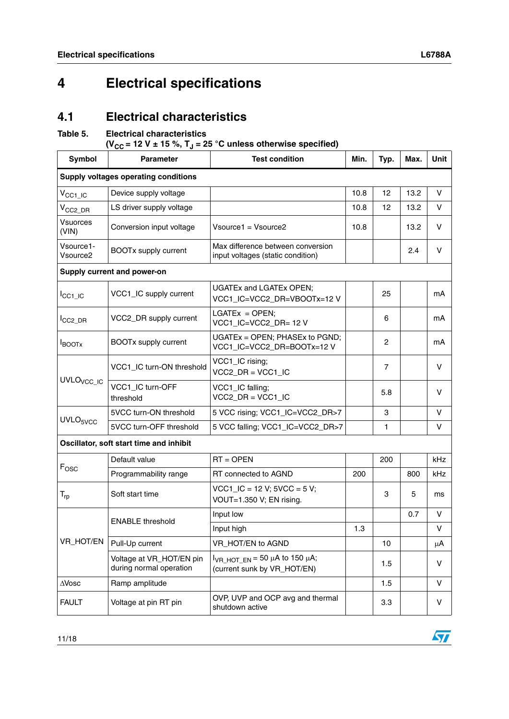## <span id="page-10-0"></span>**4 Electrical specifications**

### <span id="page-10-1"></span>**4.1 Electrical characteristics**

#### **Table 5. Electrical characteristics**

 $(V_{CC} = 12 V \pm 15 \%, T_J = 25 °C$  unless otherwise specified)

| <b>Symbol</b>                               | <b>Parameter</b>                                    | <b>Test condition</b>                                                    | Min. | Typ.           | Max. | <b>Unit</b> |  |  |  |
|---------------------------------------------|-----------------------------------------------------|--------------------------------------------------------------------------|------|----------------|------|-------------|--|--|--|
| <b>Supply voltages operating conditions</b> |                                                     |                                                                          |      |                |      |             |  |  |  |
| $V_{\text{CC1\_IC}}$                        | Device supply voltage                               |                                                                          | 10.8 | 12             | 13.2 | v           |  |  |  |
| $V_{CC2\_DR}$                               | LS driver supply voltage                            |                                                                          | 10.8 | 12             | 13.2 | v           |  |  |  |
| <b>Vsuorces</b><br>(VIN)                    | Conversion input voltage                            | Vsource1 = Vsource2                                                      | 10.8 |                | 13.2 | V           |  |  |  |
| Vsource1-<br>Vsource <sub>2</sub>           | <b>BOOTx supply current</b>                         | Max difference between conversion<br>input voltages (static condition)   |      |                | 2.4  | v           |  |  |  |
|                                             | Supply current and power-on                         |                                                                          |      |                |      |             |  |  |  |
| $I_{\text{CC1}\_\text{IC}}$                 | VCC1_IC supply current                              | <b>UGATEx and LGATEx OPEN;</b><br>VCC1_IC=VCC2_DR=VBOOTx=12V             |      | 25             |      | mA          |  |  |  |
| CC <sub>2_DR</sub>                          | VCC2_DR supply current                              | $LGATEX = OPER;$<br>VCC1_IC=VCC2_DR= 12 V                                |      | 6              |      | mA          |  |  |  |
| <b>I</b> BOOTX                              | <b>BOOTx supply current</b>                         | UGATEx = OPEN; PHASEx to PGND;<br>VCC1_IC=VCC2_DR=BOOTx=12V              |      | $\overline{c}$ |      | mA          |  |  |  |
|                                             | VCC1_IC turn-ON threshold                           | VCC1_IC rising;<br>$VCC2$ DR = $VCC1$ IC                                 |      | 7              |      | v           |  |  |  |
| UVLO <sub>VCC_IC</sub>                      | VCC1 IC turn-OFF<br>threshold                       | VCC1_IC falling;<br>$VCC2$ _DR = $VCC1$ _IC                              |      | 5.8            |      | v           |  |  |  |
| UVLO <sub>5VCC</sub>                        | 5VCC turn-ON threshold                              | 5 VCC rising; VCC1_IC=VCC2_DR>7                                          |      | 3              |      | $\vee$      |  |  |  |
|                                             | 5VCC turn-OFF threshold                             | 5 VCC falling; VCC1_IC=VCC2_DR>7                                         |      | $\mathbf{1}$   |      | V           |  |  |  |
|                                             | Oscillator, soft start time and inhibit             |                                                                          |      |                |      |             |  |  |  |
|                                             | Default value                                       | $RT = OPER$                                                              |      | 200            |      | kHz         |  |  |  |
| Fosc                                        | Programmability range                               | RT connected to AGND                                                     | 200  |                | 800  | kHz.        |  |  |  |
| $T_{rp}$                                    | Soft start time                                     | $VCC1$ <sub>-</sub> IC = 12 V; $5VCC = 5$ V;<br>VOUT=1.350 V; EN rising. |      | 3              | 5    | ms          |  |  |  |
|                                             | <b>ENABLE threshold</b>                             | Input low                                                                |      |                | 0.7  | v           |  |  |  |
|                                             |                                                     | Input high                                                               | 1.3  |                |      | V           |  |  |  |
| VR_HOT/EN                                   | Pull-Up current                                     | VR_HOT/EN to AGND                                                        |      | 10             |      | μA          |  |  |  |
|                                             | Voltage at VR_HOT/EN pin<br>during normal operation | $I_{\text{VR HOT EN}}$ = 50 µA to 150 µA;<br>(current sunk by VR_HOT/EN) |      | 1.5            |      | V           |  |  |  |
| $\Delta$ Vosc                               | Ramp amplitude                                      |                                                                          |      | 1.5            |      | v           |  |  |  |
| <b>FAULT</b>                                | Voltage at pin RT pin                               | OVP, UVP and OCP avg and thermal<br>shutdown active                      |      | 3.3            |      | V           |  |  |  |

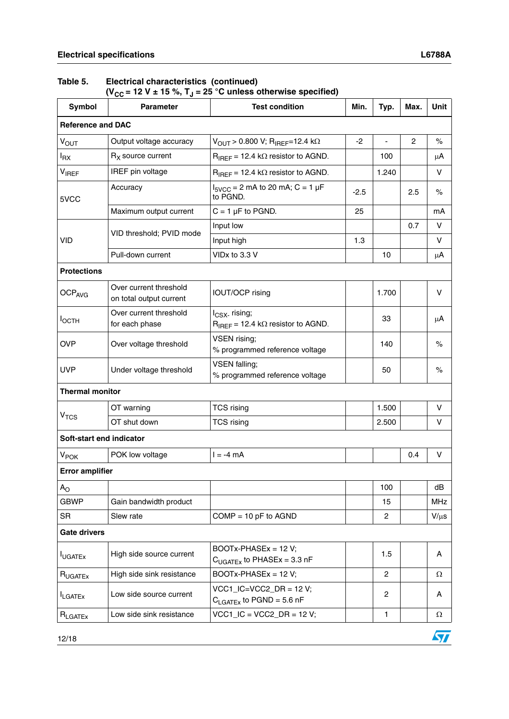#### **Table 5. Electrical characteristics (continued)**

(V<sub>CC</sub> = 12 V ± 15 %, T<sub>J</sub> = 25 °C unless otherwise specified)

| Symbol                   | <b>Parameter</b>                                  | <b>Test condition</b>                                                                           | Min.   | Typ.                     | Max. | <b>Unit</b> |  |  |
|--------------------------|---------------------------------------------------|-------------------------------------------------------------------------------------------------|--------|--------------------------|------|-------------|--|--|
| <b>Reference and DAC</b> |                                                   |                                                                                                 |        |                          |      |             |  |  |
| $V_{\text{OUT}}$         | Output voltage accuracy                           | $V_{\text{OUT}} > 0.800 \text{ V}; R_{\text{IREF}} = 12.4 \text{ k}\Omega$                      | $-2$   | $\overline{\phantom{a}}$ | 2    | $\%$        |  |  |
| $I_{\mathsf{RX}}$        | $RX$ source current                               | $R_{IREF}$ = 12.4 k $\Omega$ resistor to AGND.                                                  |        | 100                      |      | μA          |  |  |
| VIREF                    | IREF pin voltage                                  | $R_{IREF}$ = 12.4 k $\Omega$ resistor to AGND.                                                  |        | 1.240                    |      | v           |  |  |
| 5VCC                     | Accuracy                                          | $I_{SVCC}$ = 2 mA to 20 mA; C = 1 µF<br>to PGND.                                                | $-2.5$ |                          | 2.5  | $\%$        |  |  |
|                          | Maximum output current                            | $C = 1 \mu F$ to PGND.                                                                          | 25     |                          |      | mA          |  |  |
|                          | VID threshold; PVID mode                          | Input low                                                                                       |        |                          | 0.7  | v           |  |  |
| VID                      |                                                   | Input high                                                                                      | 1.3    |                          |      | $\vee$      |  |  |
|                          | Pull-down current                                 | VID <sub>x</sub> to 3.3 V                                                                       |        | 10                       |      | μA          |  |  |
| <b>Protections</b>       |                                                   |                                                                                                 |        |                          |      |             |  |  |
| OCP <sub>AVG</sub>       | Over current threshold<br>on total output current | IOUT/OCP rising                                                                                 |        | 1.700                    |      | v           |  |  |
| Іостн                    | Over current threshold<br>for each phase          | I <sub>CSX-</sub> rising;<br>$R_{IBFF}$ = 12.4 k $\Omega$ resistor to AGND.                     |        | 33                       |      | μA          |  |  |
| <b>OVP</b>               | Over voltage threshold                            | VSEN rising;<br>% programmed reference voltage                                                  |        | 140                      |      | $\%$        |  |  |
| <b>UVP</b>               | Under voltage threshold                           | <b>VSEN falling;</b><br>% programmed reference voltage                                          |        | 50                       |      | $\%$        |  |  |
| <b>Thermal monitor</b>   |                                                   |                                                                                                 |        |                          |      |             |  |  |
|                          | OT warning                                        | <b>TCS rising</b>                                                                               |        | 1.500                    |      | V           |  |  |
| V <sub>TCS</sub>         | OT shut down                                      | <b>TCS rising</b>                                                                               |        | 2.500                    |      | v           |  |  |
| Soft-start end indicator |                                                   |                                                                                                 |        |                          |      |             |  |  |
| <b>V<sub>POK</sub></b>   | POK low voltage                                   | $I = -4$ mA                                                                                     |        |                          | 0.4  | V           |  |  |
| <b>Error amplifier</b>   |                                                   |                                                                                                 |        |                          |      |             |  |  |
| $A_{\rm O}$              |                                                   |                                                                                                 |        | 100                      |      | dB          |  |  |
| <b>GBWP</b>              | Gain bandwidth product                            |                                                                                                 |        | 15                       |      | <b>MHz</b>  |  |  |
| <b>SR</b>                | Slew rate                                         | $COMP = 10 pF$ to AGND                                                                          |        | 2                        |      | $V/\mu s$   |  |  |
| <b>Gate drivers</b>      |                                                   |                                                                                                 |        |                          |      |             |  |  |
| <b>I</b> UGATEx          | High side source current                          | BOOTx-PHASEx = 12 V;<br>$C_{UGATEX}$ to PHASEx = 3.3 nF                                         |        | 1.5                      |      | A           |  |  |
| $R_{UGATEX}$             | High side sink resistance                         | BOOTx-PHASEx = 12 V;                                                                            |        | $\overline{c}$           |      | Ω           |  |  |
| <b>ILGATEX</b>           | Low side source current                           | $VCC1$ <sub>-</sub> $IC=VCC2$ <sub>-</sub> $DR = 12$ V;<br>$C_{\text{LGATEx}}$ to PGND = 5.6 nF |        | $\overline{c}$           |      | A           |  |  |
| $R_{LGATEx}$             | Low side sink resistance                          | $VCC1$ <sub>-</sub> $IC = VCC2$ <sub>-</sub> $DR = 12$ V;                                       |        | $\mathbf{1}$             |      | Ω           |  |  |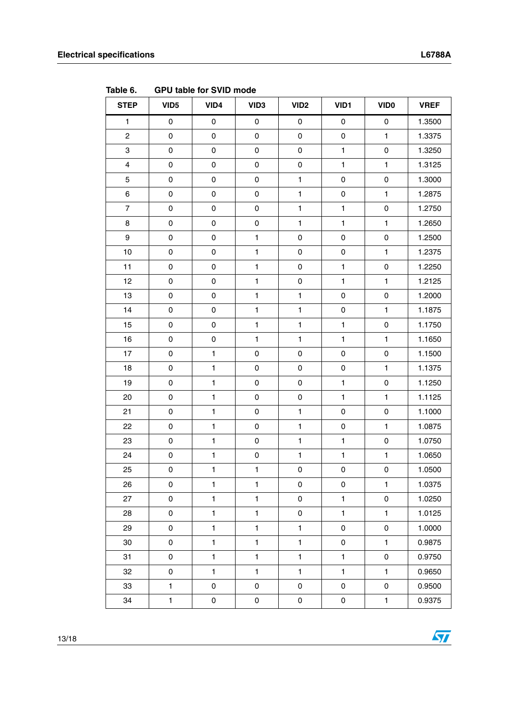**Table 6. GPU table for SVID mode**

| <b>STEP</b>             | VID <sub>5</sub>    | VID4                | VID <sub>3</sub> | VID <sub>2</sub>    | VID1                | <b>VIDO</b>         | <b>VREF</b> |
|-------------------------|---------------------|---------------------|------------------|---------------------|---------------------|---------------------|-------------|
| $\mathbf{1}$            | 0                   | $\mathsf 0$         | $\pmb{0}$        | $\mathsf{O}\xspace$ | $\pmb{0}$           | $\pmb{0}$           | 1.3500      |
| $\overline{c}$          | 0                   | $\mathsf 0$         | $\pmb{0}$        | $\pmb{0}$           | $\mathsf 0$         | $\mathbf{1}$        | 1.3375      |
| 3                       | 0                   | $\mathsf 0$         | $\pmb{0}$        | $\pmb{0}$           | $\mathbf{1}$        | $\mathsf{O}\xspace$ | 1.3250      |
| $\overline{\mathbf{4}}$ | 0                   | $\mathsf 0$         | $\pmb{0}$        | $\pmb{0}$           | $\mathbf{1}$        | $\mathbf{1}$        | 1.3125      |
| 5                       | 0                   | $\mathsf{O}\xspace$ | $\mathbf 0$      | $\mathbf{1}$        | $\mathsf 0$         | $\pmb{0}$           | 1.3000      |
| 6                       | 0                   | $\mathsf{O}\xspace$ | $\pmb{0}$        | $\mathbf{1}$        | $\mathsf 0$         | $\mathbf{1}$        | 1.2875      |
| $\overline{7}$          | 0                   | $\pmb{0}$           | $\pmb{0}$        | $\mathbf{1}$        | $\mathbf 1$         | $\mathsf 0$         | 1.2750      |
| 8                       | 0                   | $\mathsf{O}\xspace$ | $\mathbf 0$      | $\mathbf{1}$        | $\mathbf{1}$        | $\mathbf{1}$        | 1.2650      |
| $\boldsymbol{9}$        | 0                   | $\mathsf 0$         | $\mathbf{1}$     | $\pmb{0}$           | $\mathsf 0$         | $\mathsf{O}\xspace$ | 1.2500      |
| 10                      | 0                   | $\mathsf 0$         | $\mathbf{1}$     | $\pmb{0}$           | $\pmb{0}$           | $\mathbf{1}$        | 1.2375      |
| 11                      | $\mathsf{O}\xspace$ | $\mathsf 0$         | $\mathbf{1}$     | $\mathsf{O}\xspace$ | $\mathbf{1}$        | $\pmb{0}$           | 1.2250      |
| 12                      | 0                   | $\mathsf 0$         | $\mathbf{1}$     | 0                   | $\mathbf{1}$        | $\mathbf{1}$        | 1.2125      |
| 13                      | 0                   | $\mathsf 0$         | $\mathbf{1}$     | $\mathbf{1}$        | $\pmb{0}$           | $\mathbf 0$         | 1.2000      |
| 14                      | 0                   | $\mathsf 0$         | $\mathbf{1}$     | $\mathbf{1}$        | $\mathsf 0$         | $\mathbf{1}$        | 1.1875      |
| 15                      | 0                   | $\pmb{0}$           | $\mathbf{1}$     | $\mathbf{1}$        | $\mathbf{1}$        | $\pmb{0}$           | 1.1750      |
| 16                      | 0                   | $\mathsf 0$         | $\mathbf{1}$     | $\mathbf{1}$        | $\mathbf{1}$        | $\mathbf{1}$        | 1.1650      |
| 17                      | $\mathsf{O}\xspace$ | $\mathbf{1}$        | $\mathbf 0$      | $\pmb{0}$           | $\mathsf 0$         | $\mathsf{O}\xspace$ | 1.1500      |
| 18                      | 0                   | $\mathbf{1}$        | $\pmb{0}$        | 0                   | $\pmb{0}$           | $\mathbf{1}$        | 1.1375      |
| 19                      | 0                   | $\mathbf{1}$        | $\pmb{0}$        | $\pmb{0}$           | $\mathbf 1$         | $\mathsf 0$         | 1.1250      |
| 20                      | 0                   | $\mathbf{1}$        | $\mathbf 0$      | $\mathsf 0$         | $\mathbf{1}$        | $\mathbf{1}$        | 1.1125      |
| 21                      | 0                   | $\mathbf{1}$        | $\pmb{0}$        | $\mathbf{1}$        | $\pmb{0}$           | $\mathsf 0$         | 1.1000      |
| 22                      | 0                   | $\mathbf{1}$        | $\pmb{0}$        | $\mathbf{1}$        | $\pmb{0}$           | $\mathbf{1}$        | 1.0875      |
| 23                      | $\mathsf{O}\xspace$ | $\mathbf{1}$        | $\mathsf 0$      | $\mathbf{1}$        | $\mathbf{1}$        | $\mathsf 0$         | 1.0750      |
| 24                      | 0                   | $\mathbf{1}$        | $\pmb{0}$        | $\mathbf{1}$        | $\mathbf{1}$        | $\mathbf{1}$        | 1.0650      |
| 25                      | $\mathsf{O}\xspace$ | $\mathbf{1}$        | $\mathbf{1}$     | $\pmb{0}$           | $\mathsf{O}\xspace$ | $\pmb{0}$           | 1.0500      |
| 26                      | 0                   | $\mathbf{1}$        | $\mathbf{1}$     | 0                   | 0                   | $\mathbf{1}$        | 1.0375      |
| 27                      | $\mathsf{O}\xspace$ | $\mathbf{1}$        | $\mathbf{1}$     | 0                   | $\mathbf{1}$        | $\pmb{0}$           | 1.0250      |
| 28                      | 0                   | $\mathbf{1}$        | $\mathbf{1}$     | 0                   | $\mathbf{1}$        | $\mathbf{1}$        | 1.0125      |
| 29                      | $\mathsf{O}\xspace$ | $\mathbf{1}$        | $\mathbf{1}$     | $\mathbf{1}$        | $\pmb{0}$           | $\mathsf 0$         | 1.0000      |
| 30                      | 0                   | $\mathbf{1}$        | $\mathbf{1}$     | $\mathbf{1}$        | $\pmb{0}$           | $\mathbf{1}$        | 0.9875      |
| 31                      | 0                   | $\mathbf{1}$        | $\mathbf{1}$     | $\mathbf{1}$        | $\mathbf{1}$        | $\mathsf 0$         | 0.9750      |
| 32                      | 0                   | $\mathbf{1}$        | $\mathbf{1}$     | $\mathbf{1}$        | $\mathbf{1}$        | $\mathbf{1}$        | 0.9650      |
| 33                      | $\mathbf{1}$        | $\mathsf 0$         | $\mathsf 0$      | 0                   | $\pmb{0}$           | $\pmb{0}$           | 0.9500      |
| 34                      | $\mathbf{1}$        | $\mathsf 0$         | $\pmb{0}$        | $\pmb{0}$           | $\pmb{0}$           | $\mathbf{1}$        | 0.9375      |

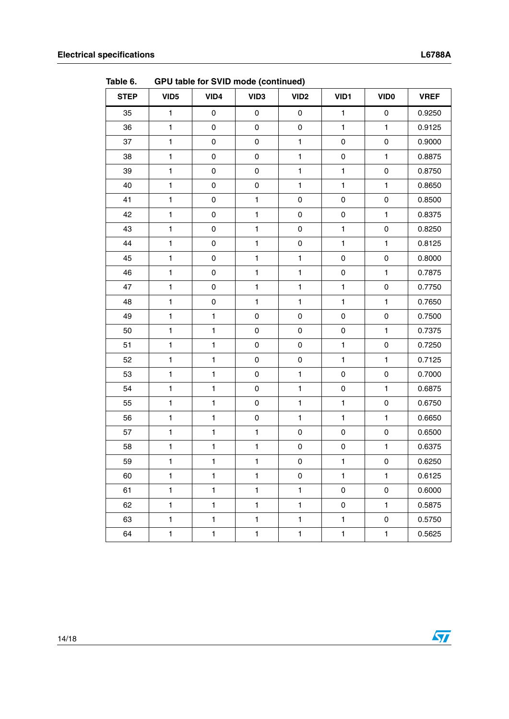| <b>STEP</b> | VID <sub>5</sub> | VID4                | VID <sub>3</sub> | - 1-----------<br>VID <sub>2</sub> | VID1                | VID <sub>0</sub>    | <b>VREF</b> |
|-------------|------------------|---------------------|------------------|------------------------------------|---------------------|---------------------|-------------|
| 35          | $\mathbf{1}$     | $\mathsf 0$         | $\mathsf 0$      | $\mathsf{O}\xspace$                | $\mathbf{1}$        | $\mathsf 0$         | 0.9250      |
| 36          | $\mathbf{1}$     | $\mathsf 0$         | $\mathsf 0$      | $\mathsf{O}\xspace$                | $\mathbf{1}$        | $\mathbf{1}$        | 0.9125      |
| 37          | $\mathbf{1}$     | $\mathsf{O}\xspace$ | $\mathsf 0$      | $\mathbf{1}$                       | $\mathsf 0$         | $\mathsf 0$         | 0.9000      |
| 38          | $\mathbf{1}$     | $\mathsf 0$         | $\pmb{0}$        | $\mathbf{1}$                       | $\mathsf 0$         | $\mathbf{1}$        | 0.8875      |
| 39          | $\mathbf{1}$     | $\mathsf 0$         | $\pmb{0}$        | $\mathbf{1}$                       | $\mathbf{1}$        | $\mathsf 0$         | 0.8750      |
| 40          | $\mathbf{1}$     | $\mathsf 0$         | $\pmb{0}$        | $\mathbf{1}$                       | $\mathbf{1}$        | $\mathbf{1}$        | 0.8650      |
| 41          | $\mathbf{1}$     | $\mathsf 0$         | $\mathbf{1}$     | $\mathsf{O}\xspace$                | $\mathsf{O}\xspace$ | $\mathsf 0$         | 0.8500      |
| 42          | $\mathbf{1}$     | $\mathsf 0$         | $\mathbf{1}$     | $\mathsf{O}\xspace$                | $\mathsf{O}\xspace$ | $\mathbf{1}$        | 0.8375      |
| 43          | $\mathbf{1}$     | $\mathsf 0$         | $\mathbf{1}$     | 0                                  | $\mathbf{1}$        | $\mathbf 0$         | 0.8250      |
| 44          | $\mathbf{1}$     | $\mathsf{O}\xspace$ | $\mathbf{1}$     | 0                                  | $\mathbf{1}$        | $\mathbf{1}$        | 0.8125      |
| 45          | $\mathbf{1}$     | $\mathsf 0$         | $\mathbf{1}$     | $\mathbf{1}$                       | $\mathsf 0$         | $\mathsf 0$         | 0.8000      |
| 46          | $\mathbf{1}$     | $\mathsf 0$         | $\mathbf{1}$     | $\mathbf{1}$                       | $\mathsf 0$         | $\mathbf{1}$        | 0.7875      |
| 47          | $\mathbf{1}$     | $\mathsf{O}\xspace$ | $\mathbf{1}$     | $\mathbf{1}$                       | $\mathbf{1}$        | $\mathsf 0$         | 0.7750      |
| 48          | $\mathbf{1}$     | $\mathsf{O}\xspace$ | $\mathbf{1}$     | $\mathbf{1}$                       | $\mathbf{1}$        | $\mathbf{1}$        | 0.7650      |
| 49          | $\mathbf{1}$     | $\mathbf{1}$        | $\pmb{0}$        | $\mathsf{O}\xspace$                | $\mathsf{O}\xspace$ | $\pmb{0}$           | 0.7500      |
| 50          | $\mathbf{1}$     | $\mathbf{1}$        | $\pmb{0}$        | $\mathsf{O}\xspace$                | $\mathsf 0$         | $\mathbf{1}$        | 0.7375      |
| 51          | $\mathbf{1}$     | $\mathbf{1}$        | $\pmb{0}$        | 0                                  | $\mathbf{1}$        | $\mathsf 0$         | 0.7250      |
| 52          | $\mathbf{1}$     | $\mathbf{1}$        | $\pmb{0}$        | $\mathsf{O}\xspace$                | $\mathbf{1}$        | $\mathbf{1}$        | 0.7125      |
| 53          | $\mathbf{1}$     | $\mathbf{1}$        | $\mathbf 0$      | $\mathbf{1}$                       | $\mathsf{O}\xspace$ | $\mathsf 0$         | 0.7000      |
| 54          | $\mathbf{1}$     | $\mathbf{1}$        | $\pmb{0}$        | $\mathbf{1}$                       | $\mathsf 0$         | $\mathbf{1}$        | 0.6875      |
| 55          | $\mathbf{1}$     | $\mathbf{1}$        | $\pmb{0}$        | $\mathbf{1}$                       | $\mathbf{1}$        | $\mathsf 0$         | 0.6750      |
| 56          | $\mathbf{1}$     | $\mathbf{1}$        | $\mathbf 0$      | $\mathbf{1}$                       | $\mathbf{1}$        | $\mathbf{1}$        | 0.6650      |
| 57          | $\mathbf{1}$     | $\mathbf{1}$        | $\mathbf{1}$     | $\mathsf{O}\xspace$                | $\mathsf 0$         | $\mathsf 0$         | 0.6500      |
| 58          | $\mathbf{1}$     | $\mathbf{1}$        | $\mathbf{1}$     | 0                                  | $\mathsf 0$         | $\mathbf{1}$        | 0.6375      |
| 59          | $\mathbf{1}$     | $\mathbf{1}$        | $\mathbf{1}$     | $\pmb{0}$                          | $\mathbf{1}$        | $\mathsf{O}\xspace$ | 0.6250      |
| 60          | $\mathbf{1}$     | 1                   | $\mathbf{1}$     | 0                                  | $\mathbf{1}$        | $\mathbf{1}$        | 0.6125      |
| 61          | $\mathbf{1}$     | $\mathbf{1}$        | $\mathbf{1}$     | $\mathbf{1}$                       | 0                   | 0                   | 0.6000      |
| 62          | $\mathbf{1}$     | $\mathbf{1}$        | $\mathbf{1}$     | $\mathbf{1}$                       | 0                   | $\mathbf{1}$        | 0.5875      |
| 63          | $\mathbf{1}$     | $\mathbf{1}$        | $\mathbf{1}$     | $\mathbf{1}$                       | $\mathbf{1}$        | 0                   | 0.5750      |
| 64          | $\mathbf{1}$     | $\mathbf{1}$        | $\mathbf{1}$     | $\mathbf{1}$                       | $\mathbf{1}$        | $\mathbf{1}$        | 0.5625      |

**Table 6. GPU table for SVID mode (continued)**

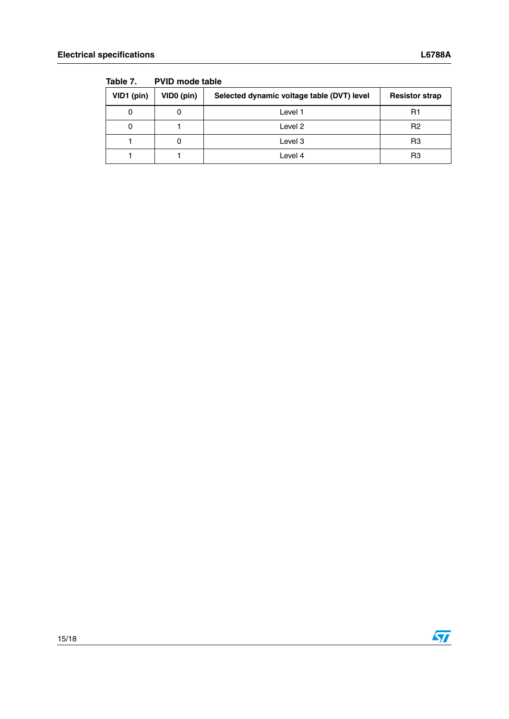| VID1 (pin) | VID0 (pin) | Selected dynamic voltage table (DVT) level | <b>Resistor strap</b> |  |  |  |
|------------|------------|--------------------------------------------|-----------------------|--|--|--|
|            | 0          | Level 1                                    | R1                    |  |  |  |
|            |            | Level 2                                    | R <sub>2</sub>        |  |  |  |
|            | O          | Level 3                                    | R3                    |  |  |  |
|            |            | Level 4                                    | R3                    |  |  |  |

**Table 7. PVID mode table**



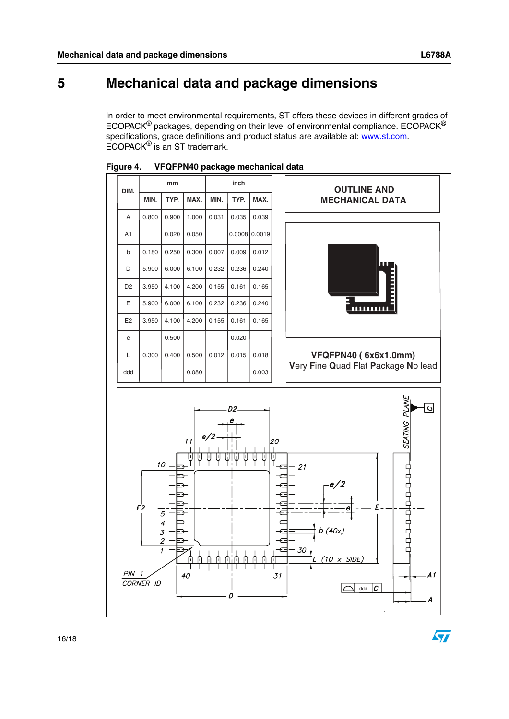## <span id="page-15-0"></span>**5 Mechanical data and package dimensions**

In order to meet environmental requirements, ST offers these devices in different grades of ECOPACK® packages, depending on their level of environmental compliance. ECOPACK® specifications, grade definitions and product status are available at: www.st.com. ECOPACK® is an ST trademark.





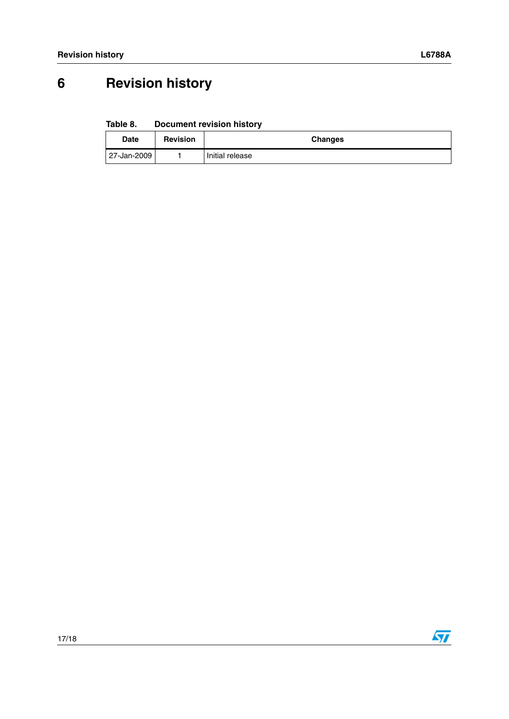## <span id="page-16-0"></span>**6 Revision history**

**Table 8. Document revision history**

| <b>Date</b> | <b>Revision</b> | <b>Changes</b>  |
|-------------|-----------------|-----------------|
| 27-Jan-2009 |                 | Initial release |